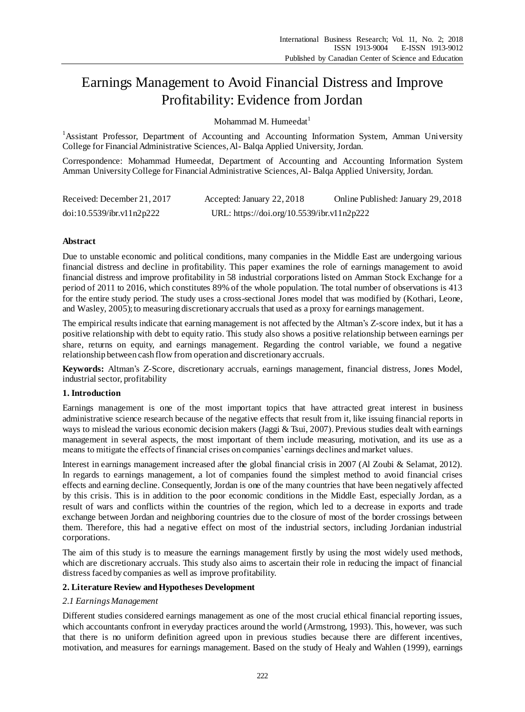# Earnings Management to Avoid Financial Distress and Improve Profitability: Evidence from Jordan

Mohammad M. Humeedat $<sup>1</sup>$ </sup>

<sup>1</sup> Assistant Professor, Department of Accounting and Accounting Information System, Amman University College for Financial Administrative Sciences, Al- Balqa Applied University, Jordan.

Correspondence: Mohammad Humeedat, Department of Accounting and Accounting Information System Amman University College for Financial Administrative Sciences, Al- Balqa Applied University, Jordan.

| Received: December 21, 2017 | Accepted: January 22, 2018                 | Online Published: January 29, 2018 |
|-----------------------------|--------------------------------------------|------------------------------------|
| doi:10.5539/ibr.v11n2p222   | URL: https://doi.org/10.5539/ibr.v11n2p222 |                                    |

# **Abstract**

Due to unstable economic and political conditions, many companies in the Middle East are undergoing various financial distress and decline in profitability. This paper examines the role of earnings management to avoid financial distress and improve profitability in 58 industrial corporations listed on Amman Stock Exchange for a period of 2011 to 2016, which constitutes 89% of the whole population. The total number of observations is 413 for the entire study period. The study uses a cross-sectional Jones model that was modified by (Kothari, Leone, and Wasley, 2005); to measuring discretionary accruals that used as a proxy for earnings management.

The empirical results indicate that earning management is not affected by the Altman's Z-score index, but it has a positive relationship with debt to equity ratio. This study also shows a positive relationship between earnings per share, returns on equity, and earnings management. Regarding the control variable, we found a negative relationship between cash flow from operation and discretionary accruals.

**Keywords:** Altman's Z-Score, discretionary accruals, earnings management, financial distress, Jones Model, industrial sector, profitability

# **1. Introduction**

Earnings management is one of the most important topics that have attracted great interest in business administrative science research because of the negative effects that result from it, like issuing financial reports in ways to mislead the various economic decision makers (Jaggi & Tsui, 2007). Previous studies dealt with earnings management in several aspects, the most important of them include measuring, motivation, and its use as a means to mitigate the effects of financial crises on companies' earnings declines and market values.

Interest in earnings management increased after the global financial crisis in 2007 (Al Zoubi & Selamat, 2012). In regards to earnings management, a lot of companies found the simplest method to avoid financial crises effects and earning decline. Consequently, Jordan is one of the many countries that have been negatively affected by this crisis. This is in addition to the poor economic conditions in the Middle East, especially Jordan, as a result of wars and conflicts within the countries of the region, which led to a decrease in exports and trade exchange between Jordan and neighboring countries due to the closure of most of the border crossings between them. Therefore, this had a negative effect on most of the industrial sectors, including Jordanian industrial corporations.

The aim of this study is to measure the earnings management firstly by using the most widely used methods, which are discretionary accruals. This study also aims to ascertain their role in reducing the impact of financial distress faced by companies as well as improve profitability.

# **2. Literature Review and Hypotheses Development**

# *2.1 Earnings Management*

Different studies considered earnings management as one of the most crucial ethical financial reporting issues, which accountants confront in everyday practices around the world (Armstrong, 1993). This, however, was such that there is no uniform definition agreed upon in previous studies because there are different incentives, motivation, and measures for earnings management. Based on the study of Healy and Wahlen (1999), earnings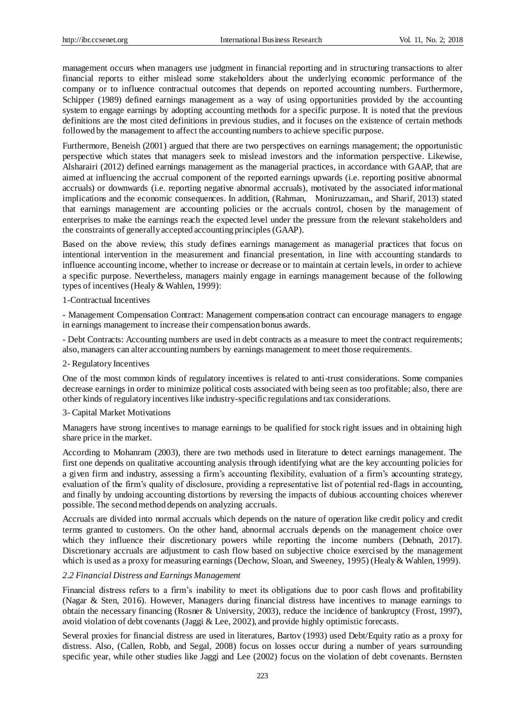management occurs when managers use judgment in financial reporting and in structuring transactions to alter financial reports to either mislead some stakeholders about the underlying economic performance of the company or to influence contractual outcomes that depends on reported accounting numbers. Furthermore, Schipper (1989) defined earnings management as a way of using opportunities provided by the accounting system to engage earnings by adopting accounting methods for a specific purpose. It is noted that the previous definitions are the most cited definitions in previous studies, and it focuses on the existence of certain methods followed by the management to affect the accounting numbers to achieve specific purpose.

Furthermore, Beneish (2001) argued that there are two perspectives on earnings management; the opportunistic perspective which states that managers seek to mislead investors and the information perspective. Likewise, Alsharairi (2012) defined earnings management as the managerial practices, in accordance with GAAP, that are aimed at influencing the accrual component of the reported earnings upwards (i.e. reporting positive abnormal accruals) or downwards (i.e. reporting negative abnormal accruals), motivated by the associated informational implications and the economic consequences. In addition, (Rahman, Moniruzzaman,, and Sharif, 2013) stated that earnings management are accounting policies or the accruals control, chosen by the management of enterprises to make the earnings reach the expected level under the pressure from the relevant stakeholders and the constraints of generally accepted accounting principles (GAAP).

Based on the above review, this study defines earnings management as managerial practices that focus on intentional intervention in the measurement and financial presentation, in line with accounting standards to influence accounting income, whether to increase or decrease or to maintain at certain levels, in order to achieve a specific purpose. Nevertheless, managers mainly engage in earnings management because of the following types of incentives (Healy & Wahlen, 1999):

#### 1-Contractual Incentives

- Management Compensation Contract: Management compensation contract can encourage managers to engage in earnings management to increase their compensation bonus awards.

- Debt Contracts: Accounting numbers are used in debt contracts as a measure to meet the contract requirements; also, managers can alter accounting numbers by earnings management to meet those requirements.

#### 2- Regulatory Incentives

One of the most common kinds of regulatory incentives is related to anti-trust considerations. Some companies decrease earnings in order to minimize political costs associated with being seen as too profitable; also, there are other kinds of regulatory incentives like industry-specific regulations and tax considerations.

#### 3- Capital Market Motivations

Managers have strong incentives to manage earnings to be qualified for stock right issues and in obtaining high share price in the market.

According to Mohanram (2003), there are two methods used in literature to detect earnings management. The first one depends on qualitative accounting analysis through identifying what are the key accounting policies for a given firm and industry, assessing a firm's accounting flexibility, evaluation of a firm's accounting strategy, evaluation of the firm's quality of disclosure, providing a representative list of potential red-flags in accounting, and finally by undoing accounting distortions by reversing the impacts of dubious accounting choices wherever possible. The second method depends on analyzing accruals.

Accruals are divided into normal accruals which depends on the nature of operation like credit policy and credit terms granted to customers. On the other hand, abnormal accruals depends on the management choice over which they influence their discretionary powers while reporting the income numbers (Debnath, 2017). Discretionary accruals are adjustment to cash flow based on subjective choice exercised by the management which is used as a proxy for measuring earnings (Dechow, Sloan, and Sweeney, 1995) (Healy & Wahlen, 1999).

## *2.2 Financial Distress and Earnings Management*

Financial distress refers to a firm's inability to meet its obligations due to poor cash flows and profitability (Nagar & Sten, 2016). However, Managers during financial distress have incentives to manage earnings to obtain the necessary financing (Rosner & University, 2003), reduce the incidence of bankruptcy (Frost, 1997), avoid violation of debt covenants (Jaggi & Lee, 2002), and provide highly optimistic forecasts.

Several proxies for financial distress are used in literatures, Bartov (1993) used Debt/Equity ratio as a proxy for distress. Also, (Callen, Robb, and Segal, 2008) focus on losses occur during a number of years surrounding specific year, while other studies like Jaggi and Lee (2002) focus on the violation of debt covenants. Bernsten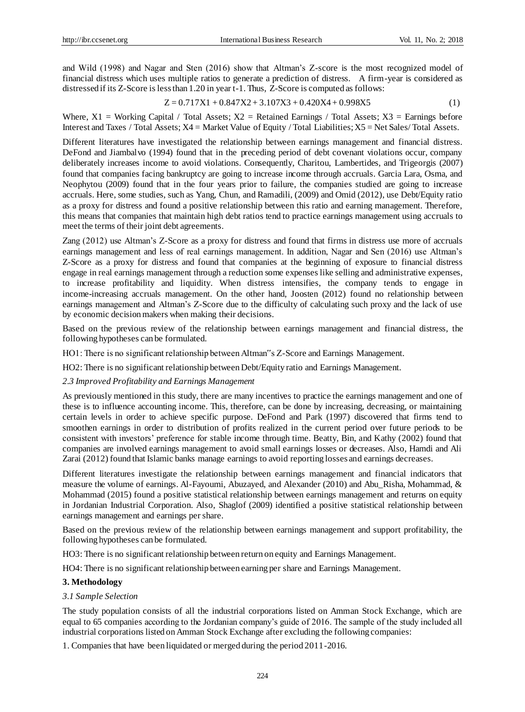and Wild (1998) and Nagar and Sten (2016) show that Altman's Z-score is the most recognized model of financial distress which uses multiple ratios to generate a prediction of distress. A firm-year is considered as distressed if its Z-Score is less than 1.20 in year t-1. Thus, Z-Score is computed as follows:

$$
Z = 0.717X1 + 0.847X2 + 3.107X3 + 0.420X4 + 0.998X5
$$
 (1)

Where,  $X1$  = Working Capital / Total Assets;  $X2$  = Retained Earnings / Total Assets;  $X3$  = Earnings before Interest and Taxes / Total Assets; X4 = Market Value of Equity / Total Liabilities; X5 = Net Sales/ Total Assets.

Different literatures have investigated the relationship between earnings management and financial distress. DeFond and Jiambalvo (1994) found that in the preceding period of debt covenant violations occur, company deliberately increases income to avoid violations. Consequently, Charitou, Lambertides, and Trigeorgis (2007) found that companies facing bankruptcy are going to increase income through accruals. Garcia Lara, Osma, and Neophytou (2009) found that in the four years prior to failure, the companies studied are going to increase accruals. Here, some studies, such as Yang, Chun, and Ramadili, (2009) and Omid (2012), use Debt/Equity ratio as a proxy for distress and found a positive relationship between this ratio and earning management. Therefore, this means that companies that maintain high debt ratios tend to practice earnings management using accruals to meet the terms of their joint debt agreements.

Zang (2012) use Altman's Z-Score as a proxy for distress and found that firms in distress use more of accruals earnings management and less of real earnings management. In addition, Nagar and Sen (2016) use Altman's Z-Score as a proxy for distress and found that companies at the beginning of exposure to financial distress engage in real earnings management through a reduction some expenses like selling and administrative expenses, to increase profitability and liquidity. When distress intensifies, the company tends to engage in income-increasing accruals management. On the other hand, Joosten (2012) found no relationship between earnings management and Altman's Z-Score due to the difficulty of calculating such proxy and the lack of use by economic decision makers when making their decisions.

Based on the previous review of the relationship between earnings management and financial distress, the following hypotheses can be formulated.

HO1: There is no significant relationship between Altman"s Z-Score and Earnings Management.

HO2: There is no significant relationship between Debt/Equity ratio and Earnings Management.

# *2.3 Improved Profitability and Earnings Management*

As previously mentioned in this study, there are many incentives to practice the earnings management and one of these is to influence accounting income. This, therefore, can be done by increasing, decreasing, or maintaining certain levels in order to achieve specific purpose. DeFond and Park (1997) discovered that firms tend to smoothen earnings in order to distribution of profits realized in the current period over future periods to be consistent with investors' preference for stable income through time. Beatty, Bin, and Kathy (2002) found that companies are involved earnings management to avoid small earnings losses or decreases. Also, Hamdi and Ali Zarai (2012) found that Islamic banks manage earnings to avoid reporting losses and earnings decreases.

Different literatures investigate the relationship between earnings management and financial indicators that measure the volume of earnings. Al-Fayoumi, Abuzayed, and Alexander (2010) and Abu\_Risha, Mohammad, & Mohammad (2015) found a positive statistical relationship between earnings management and returns on equity in Jordanian Industrial Corporation. Also, Shaglof (2009) identified a positive statistical relationship between earnings management and earnings per share.

Based on the previous review of the relationship between earnings management and support profitability, the following hypotheses can be formulated.

HO3: There is no significant relationship between return on equity and Earnings Management.

HO4: There is no significant relationship between earning per share and Earnings Management.

# **3. Methodology**

# *3.1 Sample Selection*

The study population consists of all the industrial corporations listed on Amman Stock Exchange, which are equal to 65 companies according to the Jordanian company's guide of 2016. The sample of the study included all industrial corporations listed on Amman Stock Exchange after excluding the following companies:

1. Companies that have been liquidated or merged during the period 2011-2016.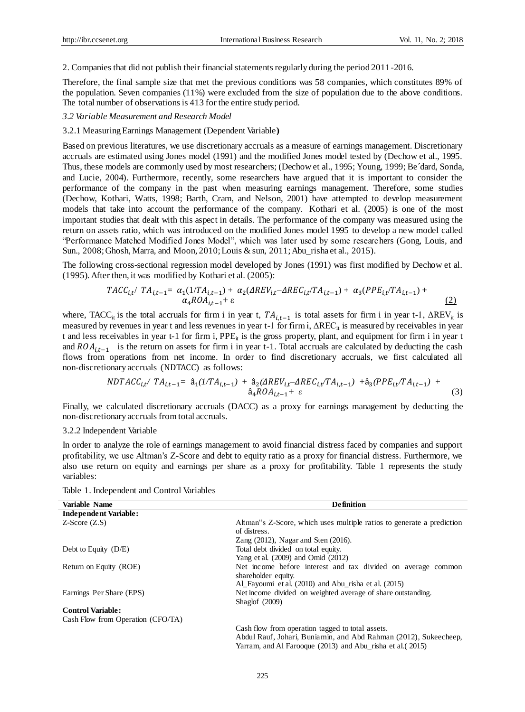2. Companies that did not publish their financial statements regularly during the period 2011-2016.

Therefore, the final sample size that met the previous conditions was 58 companies, which constitutes 89% of the population. Seven companies (11%) were excluded from the size of population due to the above conditions. The total number of observations is 413 for the entire study period.

#### *3.2 Variable Measurement and Research Model*

#### 3.2.1 Measuring Earnings Management (Dependent Variable**)**

Based on previous literatures, we use discretionary accruals as a measure of earnings management. Discretionary accruals are estimated using Jones model (1991) and the modified Jones model tested by (Dechow et al., 1995. Thus, these models are commonly used by most researchers; (Dechow et al., 1995; Young, 1999; Be dard, Sonda, and Lucie, 2004). Furthermore, recently, some researchers have argued that it is important to consider the performance of the company in the past when measuring earnings management. Therefore, some studies (Dechow, Kothari, Watts, 1998; Barth, Cram, and Nelson, 2001) have attempted to develop measurement models that take into account the performance of the company. Kothari et al. (2005) is one of the most important studies that dealt with this aspect in details. The performance of the company was measured using the return on assets ratio, which was introduced on the modified Jones model 1995 to develop a new model called "Performance Matched Modified Jones Model", which was later used by some researchers (Gong, Louis, and Sun., 2008; Ghosh, Marra, and Moon, 2010; Louis & sun, 2011; Abu\_risha et al., 2015).

The following cross-sectional regression model developed by Jones (1991) was first modified by Dechow et al. (1995). After then, it was modified by Kothari et al. (2005):

$$
TACC_{i,t} / TA_{i,t-1} = \alpha_1(1/TA_{i,t-1}) + \alpha_2(AREV_{i,t} - AREC_{i,t}/TA_{i,t-1}) + \alpha_3(PPE_{i,t}/TA_{i,t-1}) + \alpha_4ROA_{i,t-1} + \epsilon
$$
\n(2)

where, TACC<sub>it</sub> is the total accruals for firm i in year t,  $TA_{i,t-1}$  is total assets for firm i in year t-1,  $\Delta REV_{it}$  is measured by revenues in year t and less revenues in year t-1 for firm i, ΔREC<sub>it</sub> is measured by receivables in year t and less receivables in year t-1 for firm i,  $PPE_i$  is the gross property, plant, and equipment for firm i in year t and  $ROA_{i,t-1}$  is the return on assets for firm i in year t-1. Total accruals are calculated by deducting the cash flows from operations from net income. In order to find discretionary accruals, we first calculated all non-discretionary accruals (NDTACC) as follows:

$$
NDTACC_{i,t} / TA_{i,t-1} = \hat{a}_1 (1/TA_{i,t-1}) + \hat{a}_2 (AREV_{i,t} - AREC_{i,t} / TA_{i,t-1}) + \hat{a}_3 (PPE_{i,t} / TA_{i,t-1}) + \hat{a}_4 ROA_{i,t-1} + \varepsilon
$$
\n(3)

Finally, we calculated discretionary accruals (DACC) as a proxy for earnings management by deducting the non-discretionary accruals from total accruals.

3.2.2 Independent Variable

In order to analyze the role of earnings management to avoid financial distress faced by companies and support profitability, we use Altman's Z-Score and debt to equity ratio as a proxy for financial distress. Furthermore, we also use return on equity and earnings per share as a proxy for profitability. Table 1 represents the study variables:

Table 1. Independent and Control Variables

| Variable Name                     | <b>Definition</b>                                                                                  |
|-----------------------------------|----------------------------------------------------------------------------------------------------|
| <b>Independent Variable:</b>      |                                                                                                    |
| $Z-Score(Z.S)$                    | Altman <sup>"</sup> s Z-Score, which uses multiple ratios to generate a prediction<br>of distress. |
|                                   | Zang $(2012)$ , Nagar and Sten $(2016)$ .                                                          |
| Debt to Equity $(D/E)$            | Total debt divided on total equity.                                                                |
|                                   | Yang et al. $(2009)$ and Omid $(2012)$                                                             |
| Return on Equity (ROE)            | Net income before interest and tax divided on average common<br>shareholder equity.                |
|                                   | Al Fayoumi et al. (2010) and Abu risha et al. (2015)                                               |
| Earnings Per Share (EPS)          | Net income divided on weighted average of share outstanding.                                       |
|                                   | Shaglof $(2009)$                                                                                   |
| <b>Control Variable:</b>          |                                                                                                    |
| Cash Flow from Operation (CFO/TA) |                                                                                                    |
|                                   | Cash flow from operation tagged to total assets.                                                   |
|                                   | Abdul Rauf, Johari, Buniamin, and Abd Rahman (2012), Sukeecheep,                                   |
|                                   | Yarram, and Al Farooque (2013) and Abu risha et al. (2015)                                         |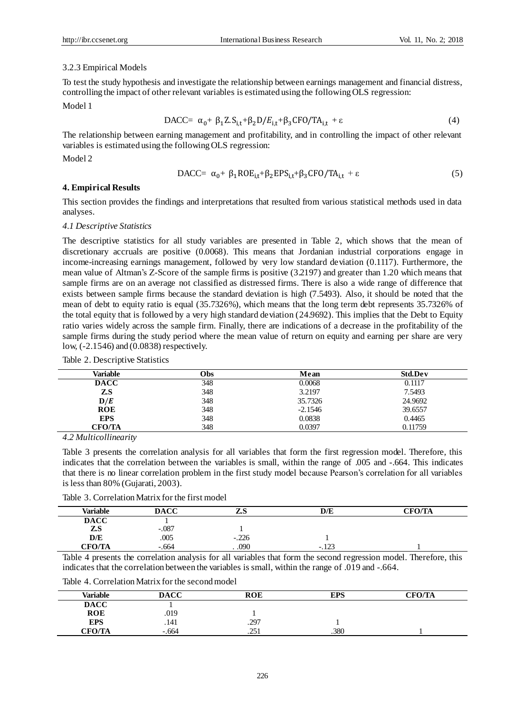## 3.2.3 Empirical Models

To test the study hypothesis and investigate the relationship between earnings management and financial distress, controlling the impact of other relevant variables is estimated using the following OLS regression: Model 1

$$
\text{DACC} = \alpha_0 + \beta_1 Z. S_{i,t} + \beta_2 D/E_{i,t} + \beta_3 \text{CFO} / \text{TA}_{i,t} + \varepsilon \tag{4}
$$

The relationship between earning management and profitability, and in controlling the impact of other relevant variables is estimated using the following OLS regression:

Model 2

$$
\text{DACC} = \alpha_0 + \beta_1 \text{ROE}_{i,t} + \beta_2 \text{EPS}_{i,t} + \beta_3 \text{CFO/TA}_{i,t} + \varepsilon \tag{5}
$$

#### **4. Empirical Results**

This section provides the findings and interpretations that resulted from various statistical methods used in data analyses.

## *4.1 Descriptive Statistics*

The descriptive statistics for all study variables are presented in Table 2, which shows that the mean of discretionary accruals are positive (0.0068). This means that Jordanian industrial corporations engage in income-increasing earnings management, followed by very low standard deviation (0.1117). Furthermore, the mean value of Altman's Z-Score of the sample firms is positive (3.2197) and greater than 1.20 which means that sample firms are on an average not classified as distressed firms. There is also a wide range of difference that exists between sample firms because the standard deviation is high (7.5493). Also, it should be noted that the mean of debt to equity ratio is equal (35.7326%), which means that the long term debt represents 35.7326% of the total equity that is followed by a very high standard deviation (24.9692). This implies that the Debt to Equity ratio varies widely across the sample firm. Finally, there are indications of a decrease in the profitability of the sample firms during the study period where the mean value of return on equity and earning per share are very low, (-2.1546) and (0.0838) respectively.

| Variable      | Obs | Mean      | <b>Std.Dev</b> |
|---------------|-----|-----------|----------------|
| <b>DACC</b>   | 348 | 0.0068    | 0.1117         |
| Z.S           | 348 | 3.2197    | 7.5493         |
| D/E           | 348 | 35.7326   | 24.9692        |
| <b>ROE</b>    | 348 | $-2.1546$ | 39.6557        |
| <b>EPS</b>    | 348 | 0.0838    | 0.4465         |
| <b>CFO/TA</b> | 348 | 0.0397    | 0.11759        |

Table 2. Descriptive Statistics

*4.2 Multicollinearity*

Table 3 presents the correlation analysis for all variables that form the first regression model. Therefore, this indicates that the correlation between the variables is small, within the range of .005 and -.664. This indicates that there is no linear correlation problem in the first study model because Pearson's correlation for all variables is less than 80% (Gujarati, 2003).

Table 3. Correlation Matrix for the first model

| <b>Variable</b> | <b>DACC</b> | $L_{b}$   | D/E            | <b>CFO/TA</b> |
|-----------------|-------------|-----------|----------------|---------------|
| <b>DACC</b>     |             |           |                |               |
| Z.S             | $-.087$     |           |                |               |
| D/E             | .005        | $-.226$   |                |               |
| <b>CFO/TA</b>   | $-.664$     | $0.090$ . | 122<br>$-.12-$ |               |

Table 4 presents the correlation analysis for all variables that form the second regression model. Therefore, this indicates that the correlation between the variables is small, within the range of .019 and -.664.

Table 4. Correlation Matrix for the second model

| <b>Variable</b> | <b>DACC</b> | <b>ROE</b>  | <b>EPS</b> | <b>CFO/TA</b> |
|-----------------|-------------|-------------|------------|---------------|
| <b>DACC</b>     |             |             |            |               |
| <b>ROE</b>      | .019        |             |            |               |
| <b>EPS</b>      | .141        | .297        |            |               |
| <b>CFO/TA</b>   | $-.664$     | ገና<br>⊥ ت∠. | .380       |               |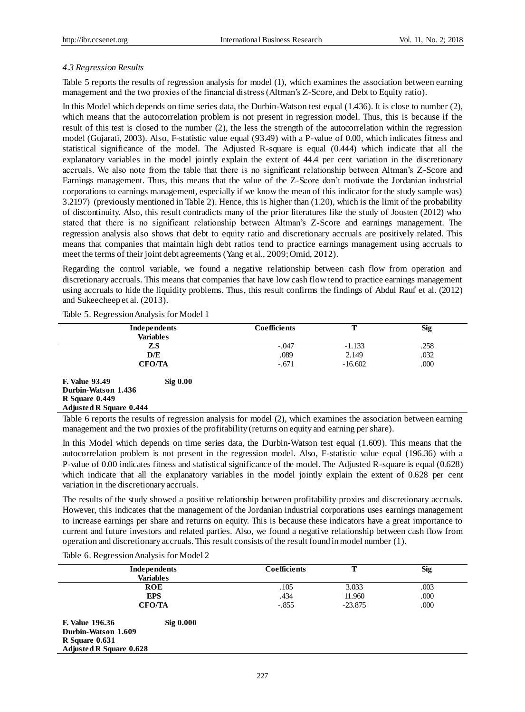## *4.3 Regression Results*

Table 5 reports the results of regression analysis for model (1), which examines the association between earning management and the two proxies of the financial distress (Altman's Z-Score, and Debt to Equity ratio).

In this Model which depends on time series data, the Durbin-Watson test equal (1.436). It is close to number (2), which means that the autocorrelation problem is not present in regression model. Thus, this is because if the result of this test is closed to the number (2), the less the strength of the autocorrelation within the regression model (Gujarati, 2003). Also, F-statistic value equal (93.49) with a P-value of 0.00, which indicates fitness and statistical significance of the model. The Adjusted R-square is equal (0.444) which indicate that all the explanatory variables in the model jointly explain the extent of 44.4 per cent variation in the discretionary accruals. We also note from the table that there is no significant relationship between Altman's Z-Score and Earnings management. Thus, this means that the value of the Z-Score don't motivate the Jordanian industrial corporations to earnings management, especially if we know the mean of this indicator for the study sample was) 3.2197( (previously mentioned in Table 2). Hence, this is higher than (1.20), which is the limit of the probability of discontinuity. Also, this result contradicts many of the prior literatures like the study of Joosten (2012) who stated that there is no significant relationship between Altman's Z-Score and earnings management. The regression analysis also shows that debt to equity ratio and discretionary accruals are positively related. This means that companies that maintain high debt ratios tend to practice earnings management using accruals to meet the terms of their joint debt agreements (Yang et al., 2009; Omid, 2012).

Regarding the control variable, we found a negative relationship between cash flow from operation and discretionary accruals. This means that companies that have low cash flow tend to practice earnings management using accruals to hide the liquidity problems. Thus, this result confirms the findings of Abdul Rauf et al. (2012) and Sukeecheep et al. (2013).

| Independents                        | <b>Coefficients</b> | т         | <b>Sig</b> |
|-------------------------------------|---------------------|-----------|------------|
| <b>Variables</b>                    |                     |           |            |
| Z.S                                 | $-.047$             | $-1.133$  | .258       |
| D/E                                 | .089                | 2.149     | .032       |
| <b>CFO/TA</b>                       | $-.671$             | $-16.602$ | .000       |
| <b>F. Value 93.49</b><br>$Sig$ 0.00 |                     |           |            |
| Durbin-Watson 1.436                 |                     |           |            |
| $R$ Square 0.449                    |                     |           |            |
| <b>Adjusted R Square 0.444</b>      |                     |           |            |

Table 5. Regression Analysis for Model 1

Table 6 reports the results of regression analysis for model (2), which examines the association between earning management and the two proxies of the profitability (returns on equity and earning per share).

In this Model which depends on time series data, the Durbin-Watson test equal (1.609). This means that the autocorrelation problem is not present in the regression model. Also, F-statistic value equal (196.36) with a P-value of 0.00 indicates fitness and statistical significance of the model. The Adjusted R-square is equal (0.628) which indicate that all the explanatory variables in the model jointly explain the extent of 0.628 per cent variation in the discretionary accruals.

The results of the study showed a positive relationship between profitability proxies and discretionary accruals. However, this indicates that the management of the Jordanian industrial corporations uses earnings management to increase earnings per share and returns on equity. This is because these indicators have a great importance to current and future investors and related parties. Also, we found a negative relationship between cash flow from operation and discretionary accruals. This result consists of the result found in model number (1).

Table 6. Regression Analysis for Model 2

|                                | Independents<br>Variables | <b>Coefficients</b> | т         | <b>Sig</b> |
|--------------------------------|---------------------------|---------------------|-----------|------------|
|                                | <b>ROE</b>                | .105                | 3.033     | .003       |
|                                | <b>EPS</b>                | .434                | 11.960    | .000       |
|                                | <b>CFO/TA</b>             | $-.855$             | $-23.875$ | .000       |
| <b>F. Value 196.36</b>         | $\mathrm{Sig}$ 0.000      |                     |           |            |
| Durbin-Watson 1.609            |                           |                     |           |            |
| $R$ Square $0.631$             |                           |                     |           |            |
| <b>Adjusted R Square 0.628</b> |                           |                     |           |            |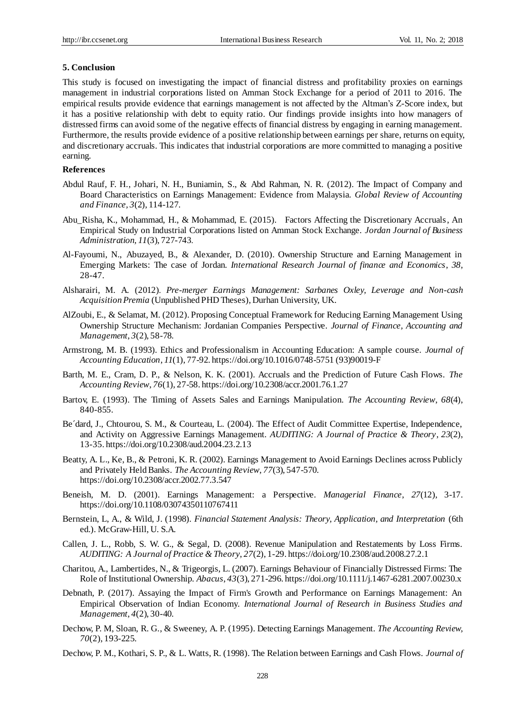## **5. Conclusion**

This study is focused on investigating the impact of financial distress and profitability proxies on earnings management in industrial corporations listed on Amman Stock Exchange for a period of 2011 to 2016. The empirical results provide evidence that earnings management is not affected by the Altman's Z-Score index, but it has a positive relationship with debt to equity ratio. Our findings provide insights into how managers of distressed firms can avoid some of the negative effects of financial distress by engaging in earning management. Furthermore, the results provide evidence of a positive relationship between earnings per share, returns on equity, and discretionary accruals. This indicates that industrial corporations are more committed to managing a positive earning.

# **References**

- Abdul Rauf, F. H., Johari, N. H., Buniamin, S., & Abd Rahman, N. R. (2012). The Impact of Company and Board Characteristics on Earnings Management: Evidence from Malaysia. *Global Review of Accounting and Finance, 3*(2), 114-127.
- Abu\_Risha, K., Mohammad, H., & Mohammad, E. (2015). Factors Affecting the Discretionary Accruals, An Empirical Study on Industrial Corporations listed on Amman Stock Exchange. *Jordan Journal of Business Administration, 11*(3), 727-743.
- Al-Fayoumi, N., Abuzayed, B., & Alexander, D. (2010). Ownership Structure and Earning Management in Emerging Markets: The case of Jordan. *International Research Journal of finance and Economics*, *38,*  28-47.
- Alsharairi, M. A. (2012). *Pre-merger Earnings Management: Sarbanes Oxley, Leverage and Non-cash Acquisition Premia* (Unpublished PHD Theses), Durhan University, UK.
- AlZoubi, E., & Selamat, M. (2012). Proposing Conceptual Framework for Reducing Earning Management Using Ownership Structure Mechanism: Jordanian Companies Perspective. *Journal of Finance, Accounting and Management*, *3*(2), 58-78.
- Armstrong, M. B. (1993). Ethics and Professionalism in Accounting Education: A sample course. *Journal of Accounting Education*, *11*(1), 77-92. https://doi.org/10.1016/0748-5751 (93)90019-F
- Barth, M. E., Cram, D. P., & Nelson, K. K. (2001). Accruals and the Prediction of Future Cash Flows. *The Accounting Review*, *76*(1), 27-58. https://doi.org/10.2308/accr.2001.76.1.27
- Bartov, E. (1993). The Timing of Assets Sales and Earnings Manipulation. *The Accounting Review*, *68*(4), 840-855.
- Be´dard, J., Chtourou, S. M., & Courteau, L. (2004). The Effect of Audit Committee Expertise, Independence, and Activity on Aggressive Earnings Management. *AUDITING: A Journal of Practice & Theory*, *23*(2), 13-35. https://doi.org/10.2308/aud.2004.23.2.13
- Beatty, A. L., Ke, B., & Petroni, K. R. (2002). Earnings Management to Avoid Earnings Declines across Publicly and Privately Held Banks. *The Accounting Review*, *77*(3), 547-570. https://doi.org/10.2308/accr.2002.77.3.547
- Beneish, M. D. (2001). Earnings Management: a Perspective. *Managerial Finance*, *27*(12), 3-17. https://doi.org/10.1108/03074350110767411
- Bernstein, L, A., & Wild, J. (1998). *Financial Statement Analysis: Theory, Application, and Interpretation* (6th ed.). McGraw-Hill, U. S.A.
- Callen, J. L., Robb, S. W. G., & Segal, D. (2008). Revenue Manipulation and Restatements by Loss Firms. *AUDITING: A Journal of Practice & Theory*, *27*(2), 1-29. https://doi.org/10.2308/aud.2008.27.2.1
- Charitou, A., Lambertides, N., & Trigeorgis, L. (2007). Earnings Behaviour of Financially Distressed Firms: The Role of Institutional Ownership. *Abacus*, *43*(3), 271-296. https://doi.org/10.1111/j.1467-6281.2007.00230.x
- Debnath, P. (2017). Assaying the Impact of Firm's Growth and Performance on Earnings Management: An Empirical Observation of Indian Economy. *International Journal of Research in Business Studies and Management*, *4*(2), 30-40.
- Dechow, P. M, Sloan, R. G., & Sweeney, A. P. (1995). Detecting Earnings Management. *The Accounting Review, 70*(2), 193-225.
- Dechow, P. M., Kothari, S. P., & L. Watts, R. (1998). The Relation between Earnings and Cash Flows. *Journal of*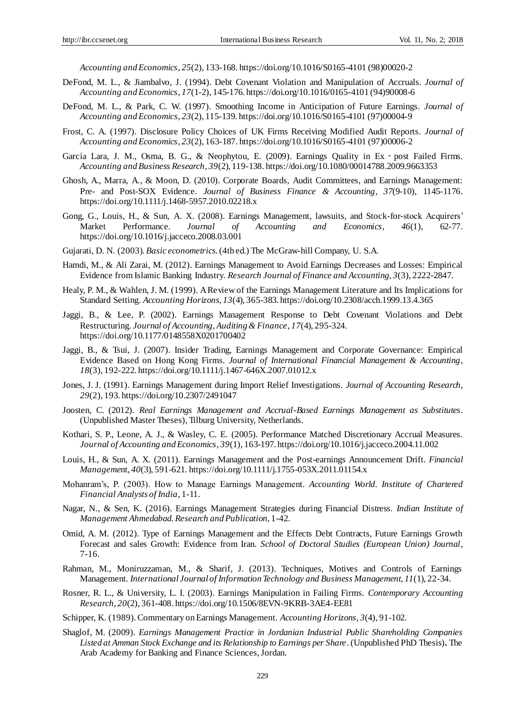*Accounting and Economics*, *25*(2), 133-168. https://doi.org/10.1016/S0165-4101 (98)00020-2

- DeFond, M. L., & Jiambalvo, J. (1994). Debt Covenant Violation and Manipulation of Accruals. *Journal of Accounting and Economics*, *17*(1-2), 145-176. https://doi.org/10.1016/0165-4101 (94)90008-6
- DeFond, M. L., & Park, C. W. (1997). Smoothing Income in Anticipation of Future Earnings. *Journal of Accounting and Economics*, *23*(2), 115-139. https://doi.org/10.1016/S0165-4101 (97)00004-9
- Frost, C. A. (1997). Disclosure Policy Choices of UK Firms Receiving Modified Audit Reports. *Journal of Accounting and Economics*, *23*(2), 163-187. https://doi.org/10.1016/S0165-4101 (97)00006-2
- Garc á Lara, J. M., Osma, B. G., & Neophytou, E. (2009). Earnings Quality in Ex post Failed Firms. *Accounting and Business Research*, *39*(2), 119-138. https://doi.org/10.1080/00014788.2009.9663353
- Ghosh, A., Marra, A., & Moon, D. (2010). Corporate Boards, Audit Committees, and Earnings Management: Pre- and Post-SOX Evidence. *Journal of Business Finance & Accounting*, *37*(9-10), 1145-1176. https://doi.org/10.1111/j.1468-5957.2010.02218.x
- Gong, G., Louis, H., & Sun, A. X. (2008). Earnings Management, lawsuits, and Stock-for-stock Acquirers' Market Performance. *Journal of Accounting and Economics*, *46*(1), 62-77. https://doi.org/10.1016/j.jacceco.2008.03.001
- Gujarati, D. N. (2003). *Basic econometrics*. (4th ed.) The McGraw-hill Company, U. S.A.
- Hamdi, M., & Ali Zarai, M. (2012). Earnings Management to Avoid Earnings Decreases and Losses: Empirical Evidence from Islamic Banking Industry. *Research Journal of Finance and Accounting*, *3*(3), 2222-2847.
- Healy, P. M., & Wahlen, J. M. (1999). A Review of the Earnings Management Literature and Its Implications for Standard Setting. *Accounting Horizons*, *13*(4), 365-383. https://doi.org/10.2308/acch.1999.13.4.365
- Jaggi, B., & Lee, P. (2002). Earnings Management Response to Debt Covenant Violations and Debt Restructuring. *Journal of Accounting, Auditing & Finance*, *17*(4), 295-324. https://doi.org/10.1177/0148558X0201700402
- Jaggi, B., & Tsui, J. (2007). Insider Trading, Earnings Management and Corporate Governance: Empirical Evidence Based on Hong Kong Firms. *Journal of International Financial Management & Accounting*, *18*(3), 192-222. https://doi.org/10.1111/j.1467-646X.2007.01012.x
- Jones, J. J. (1991). Earnings Management during Import Relief Investigations. *Journal of Accounting Research*, *29*(2), 193. https://doi.org/10.2307/2491047
- Joosten, C. (2012). *Real Earnings Management and Accrual-Based Earnings Management as Substitutes*. (Unpublished Master Theses), Tilburg University, Netherlands.
- Kothari, S. P., Leone, A. J., & Wasley, C. E. (2005). Performance Matched Discretionary Accrual Measures. *Journal of Accounting and Economics*, *39*(1), 163-197. https://doi.org/10.1016/j.jacceco.2004.11.002
- Louis, H., & Sun, A. X. (2011). Earnings Management and the Post-earnings Announcement Drift. *Financial Manageme*nt, *40*(3), 591-621. https://doi.org/10.1111/j.1755-053X.2011.01154.x
- Mohanram's, P. (2003). How to Manage Earnings Management. *Accounting World. Institute of Chartered Financial Analysts of India*, 1-11.
- Nagar, N., & Sen, K. (2016). Earnings Management Strategies during Financial Distress. *Indian Institute of Management Ahmedabad. Research and Publication*, 1-42.
- Omid, A. M. (2012). Type of Earnings Management and the Effects Debt Contracts, Future Earnings Growth Forecast and sales Growth: Evidence from Iran. *School of Doctoral Studies (European Union) Journal*, 7-16.
- Rahman, M., Moniruzzaman, M., & Sharif, J. (2013). Techniques, Motives and Controls of Earnings Management. *International Journal of Information Technology and Business Management*, *11*(1), 22-34.
- Rosner, R. L., & University, L. I. (2003). Earnings Manipulation in Failing Firms. *Contemporary Accounting Research*, *20*(2), 361-408. https://doi.org/10.1506/8EVN-9KRB-3AE4-EE81
- Schipper, K. (1989). Commentary on Earnings Management. *Accounting Horizons*, *3*(4), 91-102.
- Shaglof, M. (2009). *Earnings Management Practice in Jordanian Industrial Public Shareholding Companies Listed at Amman Stock Exchange and its Relationship to Earnings per Share*. (Unpublished PhD Thesis)**.** The Arab Academy for Banking and Finance Sciences, Jordan.